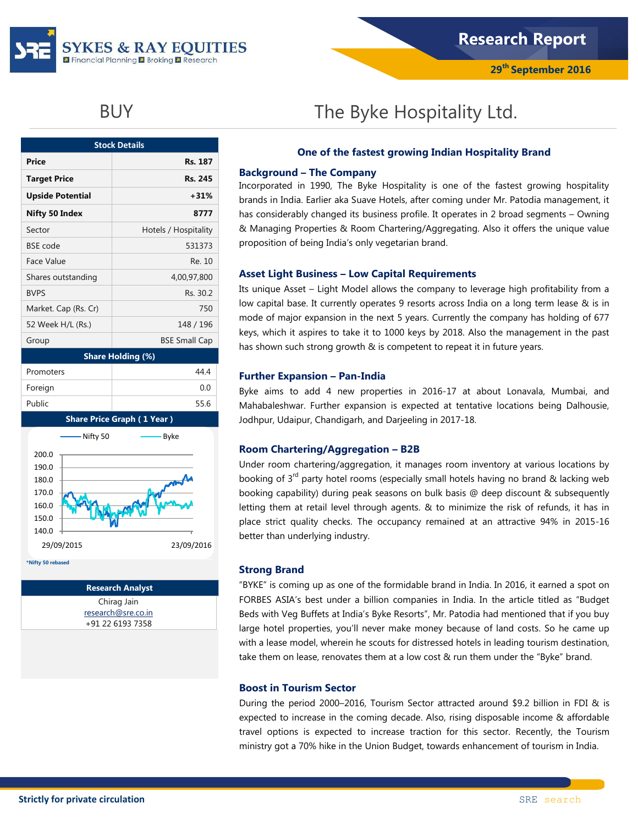

| <b>Stock Details</b>     |                      |  |  |  |  |  |
|--------------------------|----------------------|--|--|--|--|--|
| <b>Price</b>             | Rs. 187              |  |  |  |  |  |
| <b>Target Price</b>      | Rs. 245              |  |  |  |  |  |
| <b>Upside Potential</b>  | $+31%$               |  |  |  |  |  |
| Nifty 50 Index           | 8777                 |  |  |  |  |  |
| Sector                   | Hotels / Hospitality |  |  |  |  |  |
| <b>BSE</b> code          | 531373               |  |  |  |  |  |
| Face Value               | Re. 10               |  |  |  |  |  |
| Shares outstanding       | 4,00,97,800          |  |  |  |  |  |
| <b>BVPS</b>              | Rs. 30.2             |  |  |  |  |  |
| Market. Cap (Rs. Cr)     | 750                  |  |  |  |  |  |
| 52 Week H/L (Rs.)        | 148 / 196            |  |  |  |  |  |
| Group                    | <b>BSE Small Cap</b> |  |  |  |  |  |
| <b>Share Holding (%)</b> |                      |  |  |  |  |  |
| Promoters                | 44 4                 |  |  |  |  |  |
| Foreign                  | 0.0                  |  |  |  |  |  |



Public 55.6

**\*Nifty 50 rebased**

**Research Analyst** Chirag Jain [research@sre.co.in](mailto:research@sre.co.in) +91 22 6193 7358

# BUY **The Byke Hospitality Ltd.**

### **One of the fastest growing Indian Hospitality Brand**

#### **Background – The Company**

Incorporated in 1990, The Byke Hospitality is one of the fastest growing hospitality brands in India. Earlier aka Suave Hotels, after coming under Mr. Patodia management, it has considerably changed its business profile. It operates in 2 broad segments – Owning & Managing Properties & Room Chartering/Aggregating. Also it offers the unique value proposition of being India"s only vegetarian brand.

#### **Asset Light Business – Low Capital Requirements**

Its unique Asset – Light Model allows the company to leverage high profitability from a low capital base. It currently operates 9 resorts across India on a long term lease & is in mode of major expansion in the next 5 years. Currently the company has holding of 677 keys, which it aspires to take it to 1000 keys by 2018. Also the management in the past has shown such strong growth & is competent to repeat it in future years.

#### **Further Expansion – Pan-India**

Byke aims to add 4 new properties in 2016-17 at about Lonavala, Mumbai, and Mahabaleshwar. Further expansion is expected at tentative locations being Dalhousie, Jodhpur, Udaipur, Chandigarh, and Darjeeling in 2017-18.

#### **Room Chartering/Aggregation – B2B**

Under room chartering/aggregation, it manages room inventory at various locations by booking of  $3<sup>rd</sup>$  party hotel rooms (especially small hotels having no brand & lacking web booking capability) during peak seasons on bulk basis @ deep discount & subsequently letting them at retail level through agents. & to minimize the risk of refunds, it has in place strict quality checks. The occupancy remained at an attractive 94% in 2015-16 better than underlying industry.

#### **Strong Brand**

"BYKE" is coming up as one of the formidable brand in India. In 2016, it earned a spot on FORBES ASIA"s best under a billion companies in India. In the article titled as "Budget Beds with Veg Buffets at India"s Byke Resorts", Mr. Patodia had mentioned that if you buy large hotel properties, you"ll never make money because of land costs. So he came up with a lease model, wherein he scouts for distressed hotels in leading tourism destination, take them on lease, renovates them at a low cost & run them under the "Byke" brand.

#### **Boost in Tourism Sector**

During the period 2000–2016, Tourism Sector attracted around \$9.2 billion in FDI & is expected to increase in the coming decade. Also, rising disposable income & affordable travel options is expected to increase traction for this sector. Recently, the Tourism ministry got a 70% hike in the Union Budget, towards enhancement of tourism in India.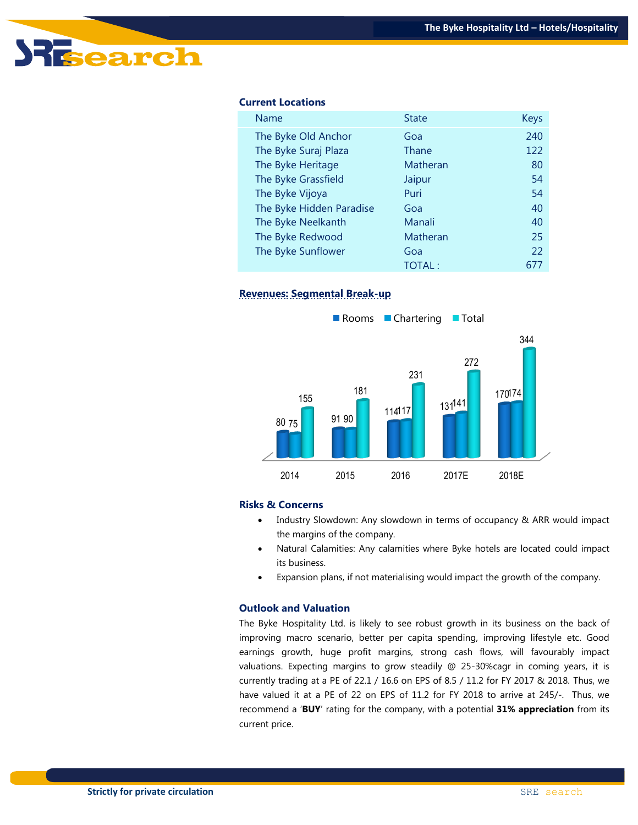

#### **Current Locations**

| Name                     | <b>State</b>  | <b>Keys</b> |
|--------------------------|---------------|-------------|
| The Byke Old Anchor      | Goa           | 240         |
| The Byke Suraj Plaza     | Thane         | 122         |
| The Byke Heritage        | Matheran      | 80          |
| The Byke Grassfield      | Jaipur        | 54          |
| The Byke Vijoya          | Puri          | 54          |
| The Byke Hidden Paradise | Goa           | 40          |
| The Byke Neelkanth       | Manali        | 40          |
| The Byke Redwood         | Matheran      | 25          |
| The Byke Sunflower       | Goa           | 22          |
|                          | <b>TOTAL:</b> | 677         |

#### **Revenues: Segmental Break-up**



#### **Risks & Concerns**

- Industry Slowdown: Any slowdown in terms of occupancy & ARR would impact the margins of the company.
- Natural Calamities: Any calamities where Byke hotels are located could impact its business.
- Expansion plans, if not materialising would impact the growth of the company.

#### **Outlook and Valuation**

The Byke Hospitality Ltd. is likely to see robust growth in its business on the back of improving macro scenario, better per capita spending, improving lifestyle etc. Good earnings growth, huge profit margins, strong cash flows, will favourably impact valuations. Expecting margins to grow steadily @ 25-30%cagr in coming years, it is currently trading at a PE of 22.1 / 16.6 on EPS of 8.5 / 11.2 for FY 2017 & 2018. Thus, we have valued it at a PE of 22 on EPS of 11.2 for FY 2018 to arrive at 245/-. Thus, we recommend a "**BUY**" rating for the company, with a potential **31% appreciation** from its current price.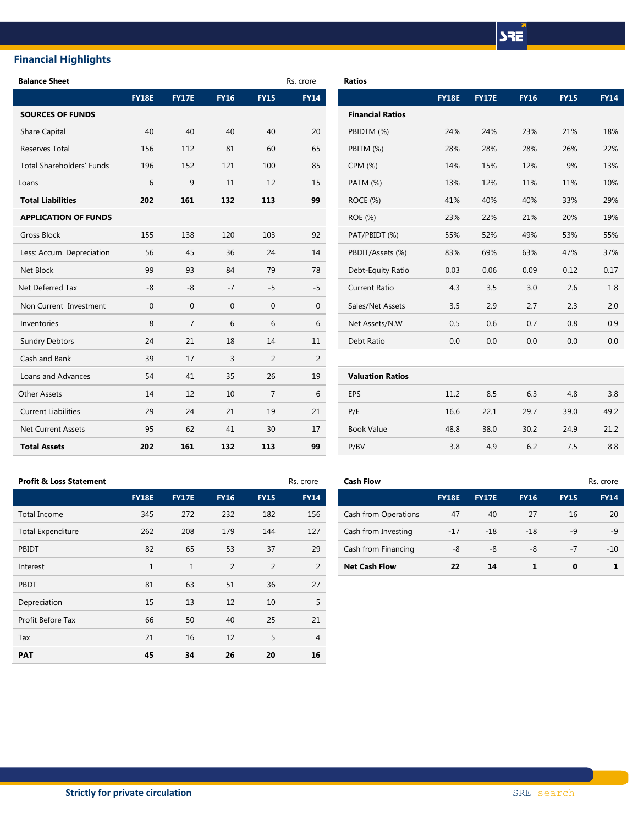# **SRE**

# **Financial Highlights**

| <b>Balance Sheet</b>        |              |                |             |                | Rs. crore      | <b>Ratios</b>           |              |              |             |             |             |
|-----------------------------|--------------|----------------|-------------|----------------|----------------|-------------------------|--------------|--------------|-------------|-------------|-------------|
|                             | <b>FY18E</b> | <b>FY17E</b>   | <b>FY16</b> | <b>FY15</b>    | <b>FY14</b>    |                         | <b>FY18E</b> | <b>FY17E</b> | <b>FY16</b> | <b>FY15</b> | <b>FY14</b> |
| <b>SOURCES OF FUNDS</b>     |              |                |             |                |                | <b>Financial Ratios</b> |              |              |             |             |             |
| <b>Share Capital</b>        | 40           | 40             | 40          | 40             | 20             | PBIDTM (%)              | 24%          | 24%          | 23%         | 21%         | 18%         |
| <b>Reserves Total</b>       | 156          | 112            | 81          | 60             | 65             | PBITM (%)               | 28%          | 28%          | 28%         | 26%         | 22%         |
| Total Shareholders' Funds   | 196          | 152            | 121         | 100            | 85             | CPM (%)                 | 14%          | 15%          | 12%         | 9%          | 13%         |
| Loans                       | 6            | 9              | 11          | 12             | 15             | PATM (%)                | 13%          | 12%          | 11%         | 11%         | 10%         |
| <b>Total Liabilities</b>    | 202          | 161            | 132         | 113            | 99             | ROCE (%)                | 41%          | 40%          | 40%         | 33%         | 29%         |
| <b>APPLICATION OF FUNDS</b> |              |                |             |                |                | ROE (%)                 | 23%          | 22%          | 21%         | 20%         | 19%         |
| <b>Gross Block</b>          | 155          | 138            | 120         | 103            | 92             | PAT/PBIDT (%)           | 55%          | 52%          | 49%         | 53%         | 55%         |
| Less: Accum. Depreciation   | 56           | 45             | 36          | 24             | 14             | PBDIT/Assets (%)        | 83%          | 69%          | 63%         | 47%         | 37%         |
| Net Block                   | 99           | 93             | 84          | 79             | 78             | Debt-Equity Ratio       | 0.03         | 0.06         | 0.09        | 0.12        | 0.17        |
| Net Deferred Tax            | -8           | -8             | $-7$        | $-5$           | $-5$           | <b>Current Ratio</b>    | 4.3          | 3.5          | 3.0         | 2.6         | 1.8         |
| Non Current Investment      | $\mathbf 0$  | $\mathbf 0$    | $\mathbf 0$ | $\mathbf 0$    | $\mathbf{0}$   | Sales/Net Assets        | 3.5          | 2.9          | 2.7         | 2.3         | 2.0         |
| Inventories                 | 8            | $\overline{7}$ | 6           | 6              | 6              | Net Assets/N.W          | 0.5          | 0.6          | 0.7         | 0.8         | 0.9         |
| <b>Sundry Debtors</b>       | 24           | 21             | 18          | 14             | 11             | Debt Ratio              | 0.0          | 0.0          | 0.0         | 0.0         | 0.0         |
| Cash and Bank               | 39           | 17             | 3           | 2              | $\overline{2}$ |                         |              |              |             |             |             |
| Loans and Advances          | 54           | 41             | 35          | 26             | 19             | <b>Valuation Ratios</b> |              |              |             |             |             |
| <b>Other Assets</b>         | 14           | 12             | 10          | $\overline{7}$ | 6              | EPS                     | 11.2         | 8.5          | 6.3         | 4.8         | 3.8         |
| <b>Current Liabilities</b>  | 29           | 24             | 21          | 19             | 21             | P/E                     | 16.6         | 22.1         | 29.7        | 39.0        | 49.2        |
| <b>Net Current Assets</b>   | 95           | 62             | 41          | 30             | 17             | <b>Book Value</b>       | 48.8         | 38.0         | 30.2        | 24.9        | 21.2        |
| <b>Total Assets</b>         | 202          | 161            | 132         | 113            | 99             | P/BV                    | 3.8          | 4.9          | 6.2         | 7.5         | 8.8         |

| <b>Financial Ratios</b> |      |      |      |      |      |
|-------------------------|------|------|------|------|------|
| PBIDTM (%)              | 24%  | 24%  | 23%  | 21%  | 18%  |
| PBITM (%)               | 28%  | 28%  | 28%  | 26%  | 22%  |
| CPM (%)                 | 14%  | 15%  | 12%  | 9%   | 13%  |
| <b>PATM (%)</b>         | 13%  | 12%  | 11%  | 11%  | 10%  |
| ROCE (%)                | 41%  | 40%  | 40%  | 33%  | 29%  |
| ROE (%)                 | 23%  | 22%  | 21%  | 20%  | 19%  |
| PAT/PBIDT (%)           | 55%  | 52%  | 49%  | 53%  | 55%  |
| PBDIT/Assets (%)        | 83%  | 69%  | 63%  | 47%  | 37%  |
| Debt-Equity Ratio       | 0.03 | 0.06 | 0.09 | 0.12 | 0.17 |
| <b>Current Ratio</b>    | 4.3  | 3.5  | 3.0  | 2.6  | 1.8  |
| Sales/Net Assets        | 3.5  | 2.9  | 2.7  | 2.3  | 2.0  |
| Net Assets/N.W          | 0.5  | 0.6  | 0.7  | 0.8  | 0.9  |
| Debt Ratio              | 0.0  | 0.0  | 0.0  | 0.0  | 0.0  |
|                         |      |      |      |      |      |
| <b>Valuation Ratios</b> |      |      |      |      |      |
| EPS                     | 11.2 | 8.5  | 6.3  | 4.8  | 3.8  |
| P/E                     | 16.6 | 22.1 | 29.7 | 39.0 | 49.2 |
| <b>Book Value</b>       | 48.8 | 38.0 | 30.2 | 24.9 | 21.2 |
| P/BV                    | 3.8  | 4.9  | 6.2  | 7.5  | 8.8  |

#### **Profit & Loss Statement <b>Cash Flow Cash Flow** *Rs. crore* **Rs. crore**

|                          | <b>FY18E</b> | <b>FY17E</b> | <b>FY16</b>    | <b>FY15</b>    | <b>FY14</b>    |                      | <b>FY18E</b> | <b>FY17E</b> | <b>FY16</b> | <b>FY15</b> | <b>FY14</b> |
|--------------------------|--------------|--------------|----------------|----------------|----------------|----------------------|--------------|--------------|-------------|-------------|-------------|
| Total Income             | 345          | 272          | 232            | 182            | 156            | Cash from Operations | 47           | 40           | 27          | 16          | 20          |
| <b>Total Expenditure</b> | 262          | 208          | 179            | 144            | 127            | Cash from Investing  | $-17$        | $-18$        | $-18$       | $-9$        | $-9$        |
| PBIDT                    | 82           | 65           | 53             | 37             | 29             | Cash from Financing  | $-8$         | $-8$         | $-8$        | $-7$        | $-10$       |
| Interest                 | 1            | $\mathbf{1}$ | $\overline{2}$ | $\overline{2}$ | $\overline{2}$ | <b>Net Cash Flow</b> | 22           | 14           | 1           | $\mathbf 0$ |             |
| PBDT                     | 81           | 63           | 51             | 36             | 27             |                      |              |              |             |             |             |
| Depreciation             | 15           | 13           | 12             | 10             | 5              |                      |              |              |             |             |             |
| Profit Before Tax        | 66           | 50           | 40             | 25             | 21             |                      |              |              |             |             |             |
| Tax                      | 21           | 16           | 12             | 5              | $\overline{4}$ |                      |              |              |             |             |             |
| <b>PAT</b>               | 45           | 34           | 26             | 20             | 16             |                      |              |              |             |             |             |

|              |              |             |             | Rs. crore   | <b>Cash Flow</b>     |              |              |             |             | Rs. crore   |
|--------------|--------------|-------------|-------------|-------------|----------------------|--------------|--------------|-------------|-------------|-------------|
| <b>FY18E</b> | <b>FY17E</b> | <b>FY16</b> | <b>FY15</b> | <b>FY14</b> |                      | <b>FY18E</b> | <b>FY17E</b> | <b>FY16</b> | <b>FY15</b> | <b>FY14</b> |
| 345          | 272          | 232         | 182         | 156         | Cash from Operations | 47           | 40           | 27          | 16          | 20          |
| 262          | 208          | 179         | 144         | 127         | Cash from Investing  | $-17$        | $-18$        | $-18$       | $-9$        | $-9$        |
| 82           | 65           | 53          | 37          | 29          | Cash from Financing  | -8           | -8           | -8          | $-7$        | $-10$       |
|              |              |             |             | 2           | <b>Net Cash Flow</b> | 22           | 14           |             | 0           |             |